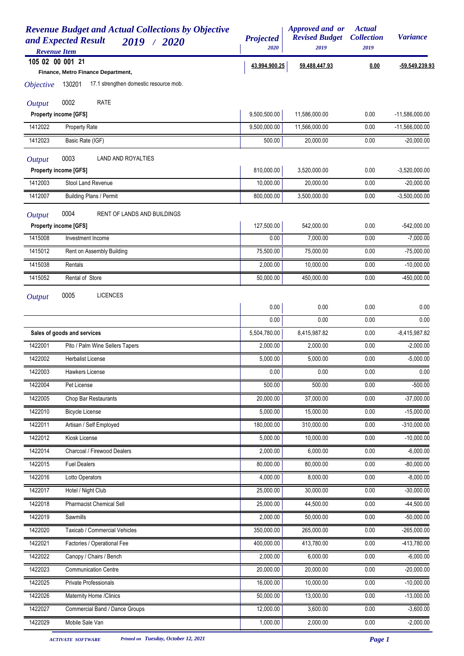| <b>Revenue Budget and Actual Collections by Objective</b><br>and Expected Result<br>2019 / 2020<br><b>Revenue Item</b> | <b>Projected</b><br>2020 | Approved and or<br><b>Revised Budget</b><br>2019 | <b>Actual</b><br><b>Collection</b><br>2019 | <b>Variance</b>  |
|------------------------------------------------------------------------------------------------------------------------|--------------------------|--------------------------------------------------|--------------------------------------------|------------------|
| 105 02 00 001 21                                                                                                       | 43,994,900.25            | 59,488,447.93                                    | 0.00                                       | -59,549,239.93   |
| Finance, Metro Finance Department,                                                                                     |                          |                                                  |                                            |                  |
| 17.1 strengthen domestic resource mob.<br>130201<br><i><b>Objective</b></i>                                            |                          |                                                  |                                            |                  |
| 0002<br><b>RATE</b><br><b>Output</b>                                                                                   |                          |                                                  |                                            |                  |
| <b>Property income [GFS]</b>                                                                                           | 9,500,500.00             | 11,586,000.00                                    | 0.00                                       | $-11,586,000.00$ |
| 1412022<br>Property Rate                                                                                               | 9,500,000.00             | 11,566,000.00                                    | 0.00                                       | $-11,566,000.00$ |
| 1412023<br>Basic Rate (IGF)                                                                                            | 500.00                   | 20,000.00                                        | 0.00                                       | $-20,000.00$     |
| 0003<br>LAND AND ROYALTIES<br><b>Output</b>                                                                            |                          |                                                  |                                            |                  |
| <b>Property income [GFS]</b>                                                                                           | 810,000.00               | 3,520,000.00                                     | 0.00                                       | $-3,520,000.00$  |
| 1412003<br>Stool Land Revenue                                                                                          | 10,000.00                | 20,000.00                                        | 0.00                                       | $-20,000.00$     |
| <b>Building Plans / Permit</b><br>1412007                                                                              | 800,000.00               | 3,500,000.00                                     | 0.00                                       | $-3,500,000.00$  |
| 0004<br><b>RENT OF LANDS AND BUILDINGS</b><br><b>Output</b>                                                            |                          |                                                  |                                            |                  |
| <b>Property income [GFS]</b>                                                                                           | 127,500.00               | 542,000.00                                       | 0.00                                       | $-542,000.00$    |
| 1415008<br>Investment Income                                                                                           | 0.00                     | 7.000.00                                         | 0.00                                       | $-7,000.00$      |
| 1415012<br>Rent on Assembly Building                                                                                   | 75,500.00                | 75,000.00                                        | 0.00                                       | $-75,000.00$     |
| 1415038<br>Rentals                                                                                                     | 2,000.00                 | 10,000.00                                        | 0.00                                       | $-10,000.00$     |
| 1415052<br>Rental of Store                                                                                             | 50,000.00                | 450,000.00                                       | 0.00                                       | $-450,000.00$    |
| 0005                                                                                                                   |                          |                                                  |                                            |                  |
| <b>LICENCES</b><br><b>Output</b>                                                                                       | 0.00                     | 0.00                                             | 0.00                                       | 0.00             |
|                                                                                                                        | 0.00                     | 0.00                                             | 0.00                                       | 0.00             |
| Sales of goods and services                                                                                            | 5,504,780.00             | 8,415,987.82                                     | 0.00                                       | $-8,415,987.82$  |
| Pito / Palm Wine Sellers Tapers<br>1422001                                                                             | 2,000.00                 | 2,000.00                                         | 0.00                                       | $-2,000.00$      |
| 1422002<br>Herbalist License                                                                                           | 5,000.00                 | 5,000.00                                         | 0.00                                       | $-5,000.00$      |
| 1422003<br>Hawkers License                                                                                             | 0.00                     | 0.00                                             | $0.00\,$                                   | 0.00             |
| 1422004<br>Pet License                                                                                                 | 500.00                   | 500.00                                           | 0.00                                       | $-500.00$        |
| 1422005<br>Chop Bar Restaurants                                                                                        | 20,000.00                | 37,000.00                                        | 0.00                                       | $-37,000.00$     |
| 1422010<br><b>Bicycle License</b>                                                                                      | 5,000.00                 | 15,000.00                                        | 0.00                                       | $-15,000.00$     |
| 1422011<br>Artisan / Self Employed                                                                                     | 180,000.00               | 310,000.00                                       | 0.00                                       | $-310,000.00$    |
| 1422012<br>Kiosk License                                                                                               | 5,000.00                 | 10,000.00                                        | 0.00                                       | $-10,000.00$     |
| 1422014<br>Charcoal / Firewood Dealers                                                                                 | 2,000.00                 | 6,000.00                                         | 0.00                                       | $-6,000.00$      |
| 1422015<br><b>Fuel Dealers</b>                                                                                         | 80,000.00                | 80,000.00                                        | 0.00                                       | $-80,000.00$     |
| 1422016<br>Lotto Operators                                                                                             | 4,000.00                 | 8,000.00                                         | 0.00                                       | $-8,000.00$      |
| Hotel / Night Club<br>1422017                                                                                          | 25,000.00                | 30,000.00                                        | 0.00                                       | $-30,000.00$     |
| 1422018<br><b>Pharmacist Chemical Sell</b>                                                                             | 25,000.00                | 44,500.00                                        | 0.00                                       | $-44,500.00$     |
| 1422019<br>Sawmills                                                                                                    | 2,000.00                 | $\overline{50,000.00}$                           | 0.00                                       | $-50,000.00$     |
| 1422020<br>Taxicab / Commercial Vehicles                                                                               | 350,000.00               | 265,000.00                                       | 0.00                                       | $-265,000.00$    |
| 1422021<br>Factories / Operational Fee                                                                                 | 400,000.00               | 413,780.00                                       | 0.00                                       | -413,780.00      |
| 1422022<br>Canopy / Chairs / Bench                                                                                     | 2,000.00                 | 6,000.00                                         | 0.00                                       | $-6,000.00$      |
| <b>Communication Centre</b><br>1422023                                                                                 | 20,000.00                | 20,000.00                                        | 0.00                                       | $-20,000.00$     |
| 1422025<br>Private Professionals                                                                                       | 16,000.00                | 10,000.00                                        | 0.00                                       | $-10,000.00$     |
| 1422026<br>Maternity Home /Clinics                                                                                     | 50,000.00                | 13,000.00                                        | 0.00                                       | $-13,000.00$     |
| 1422027<br>Commercial Band / Dance Groups                                                                              | 12,000.00                | 3,600.00                                         | 0.00                                       | $-3,600.00$      |
| 1422029<br>Mobile Sale Van                                                                                             | 1,000.00                 | 2,000.00                                         | 0.00                                       | $-2,000.00$      |

*ACTIVATE SOFTWARE Printed on Tuesday, October 12, 2021 Page 1*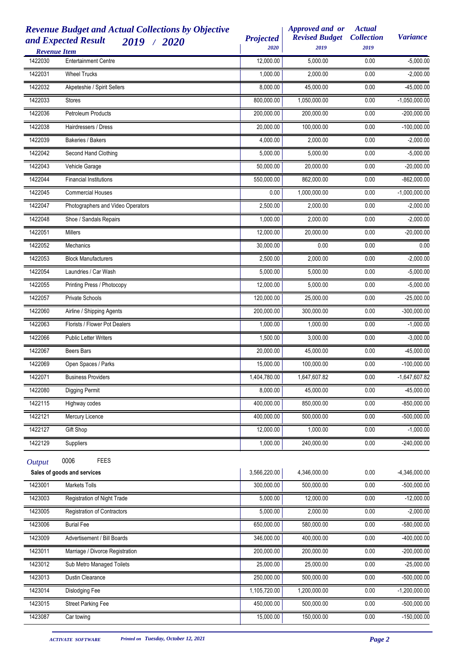| <b>Revenue Item</b> | <b>Revenue Budget and Actual Collections by Objective</b><br>and Expected Result<br>2019 / 2020 | <b>Projected</b><br>2020 | Approved and or<br><b>Revised Budget</b><br>2019 | <b>Actual</b><br><b>Collection</b><br>2019 | <b>Variance</b> |
|---------------------|-------------------------------------------------------------------------------------------------|--------------------------|--------------------------------------------------|--------------------------------------------|-----------------|
| 1422030             | <b>Entertainment Centre</b>                                                                     | 12,000.00                | 5,000.00                                         | 0.00                                       | $-5,000.00$     |
| 1422031             | <b>Wheel Trucks</b>                                                                             | 1,000.00                 | 2,000.00                                         | 0.00                                       | $-2,000.00$     |
| 1422032             | Akpeteshie / Spirit Sellers                                                                     | 8,000.00                 | 45,000.00                                        | 0.00                                       | $-45,000.00$    |
| 1422033             | <b>Stores</b>                                                                                   | 800,000.00               | 1,050,000.00                                     | 0.00                                       | $-1,050,000.00$ |
| 1422036             | <b>Petroleum Products</b>                                                                       | 200,000.00               | 200,000.00                                       | 0.00                                       | $-200,000.00$   |
| 1422038             | Hairdressers / Dress                                                                            | 20,000.00                | 100,000.00                                       | 0.00                                       | $-100,000.00$   |
| 1422039             | Bakeries / Bakers                                                                               | 4,000.00                 | 2,000.00                                         | 0.00                                       | $-2,000.00$     |
| 1422042             | Second Hand Clothing                                                                            | 5,000.00                 | 5,000.00                                         | 0.00                                       | $-5,000.00$     |
| 1422043             | Vehicle Garage                                                                                  | 50,000.00                | 20,000.00                                        | 0.00                                       | $-20,000.00$    |
| 1422044             | <b>Financial Institutions</b>                                                                   | 550,000.00               | 862,000.00                                       | 0.00                                       | $-862,000.00$   |
| 1422045             | <b>Commercial Houses</b>                                                                        | 0.00                     | 1,000,000.00                                     | 0.00                                       | $-1,000,000.00$ |
| 1422047             | Photographers and Video Operators                                                               | 2,500.00                 | 2,000.00                                         | 0.00                                       | $-2,000.00$     |
| 1422048             | Shoe / Sandals Repairs                                                                          | 1,000.00                 | 2,000.00                                         | 0.00                                       | $-2,000.00$     |
| 1422051             | Millers                                                                                         | 12,000.00                | 20,000.00                                        | 0.00                                       | $-20,000.00$    |
| 1422052             | <b>Mechanics</b>                                                                                | 30,000.00                | 0.00                                             | 0.00                                       | 0.00            |
| 1422053             | <b>Block Manufacturers</b>                                                                      | 2,500.00                 | 2,000.00                                         | 0.00                                       | $-2,000.00$     |
| 1422054             | Laundries / Car Wash                                                                            | 5,000.00                 | 5,000.00                                         | 0.00                                       | $-5,000.00$     |
| 1422055             | Printing Press / Photocopy                                                                      | 12,000.00                | 5,000.00                                         | 0.00                                       | $-5,000.00$     |
| 1422057             | Private Schools                                                                                 | 120,000.00               | 25,000.00                                        | 0.00                                       | $-25,000.00$    |
| 1422060             | Airline / Shipping Agents                                                                       | 200,000.00               | 300,000.00                                       | 0.00                                       | $-300,000.00$   |
| 1422063             | Florists / Flower Pot Dealers                                                                   | 1,000.00                 | 1,000.00                                         | 0.00                                       | $-1,000.00$     |
| 1422066             | <b>Public Letter Writers</b>                                                                    | 1,500.00                 | 3,000.00                                         | 0.00                                       | $-3,000.00$     |
| 1422067             | Beers Bars                                                                                      | 20,000.00                | 45,000.00                                        | 0.00                                       | $-45,000.00$    |
| 1422069             | Open Spaces / Parks                                                                             | 15,000.00                | 100,000.00                                       | 0.00                                       | $-100,000.00$   |
| 1422071             | <b>Business Providers</b>                                                                       | 1,404,780.00             | 1,647,607.82                                     | 0.00                                       | $-1,647,607.82$ |
| 1422080             | Digging Permit                                                                                  | 8.000.00                 | 45,000.00                                        | 0.00                                       | $-45,000.00$    |
| 1422115             | Highway codes                                                                                   | 400,000.00               | 850,000.00                                       | 0.00                                       | $-850,000.00$   |
| 1422121             | Mercury Licence                                                                                 | 400,000.00               | 500,000.00                                       | 0.00                                       | $-500,000.00$   |
| 1422127             | Gift Shop                                                                                       | 12,000.00                | 1,000.00                                         | 0.00                                       | $-1,000.00$     |
| 1422129             | Suppliers                                                                                       | 1,000.00                 | 240,000.00                                       | 0.00                                       | $-240,000.00$   |
| <b>Output</b>       | 0006<br><b>FEES</b>                                                                             |                          |                                                  |                                            |                 |
|                     | Sales of goods and services                                                                     | 3,566,220.00             | 4,346,000.00                                     | 0.00                                       | $-4,346,000.00$ |
| 1423001             | Markets Tolls                                                                                   | 300,000.00               | 500,000.00                                       | 0.00                                       | $-500,000.00$   |
| 1423003             | Registration of Night Trade                                                                     | 5,000.00                 | 12,000.00                                        | 0.00                                       | $-12,000.00$    |
| 1423005             | <b>Registration of Contractors</b>                                                              | 5,000.00                 | 2,000.00                                         | 0.00                                       | $-2,000.00$     |
| 1423006             | <b>Burial Fee</b>                                                                               | 650,000.00               | 580,000.00                                       | 0.00                                       | $-580,000.00$   |
| 1423009             | Advertisement / Bill Boards                                                                     | 346,000.00               | 400,000.00                                       | 0.00                                       | $-400,000.00$   |
| 1423011             | Marriage / Divorce Registration                                                                 | 200,000.00               | 200,000.00                                       | 0.00                                       | $-200,000.00$   |
| 1423012             | Sub Metro Managed Toilets                                                                       | 25,000.00                | 25,000.00                                        | 0.00                                       | $-25,000.00$    |
| 1423013             | Dustin Clearance                                                                                | 250,000.00               | 500,000.00                                       | 0.00                                       | $-500,000.00$   |
| 1423014             | Dislodging Fee                                                                                  | 1,105,720.00             | 1,200,000.00                                     | 0.00                                       | $-1,200,000.00$ |
| 1423015             | <b>Street Parking Fee</b>                                                                       | 450,000.00               | 500,000.00                                       | 0.00                                       | $-500,000.00$   |
| 1423087             | Car towing                                                                                      | 15,000.00                | 150,000.00                                       | 0.00                                       | $-150,000.00$   |